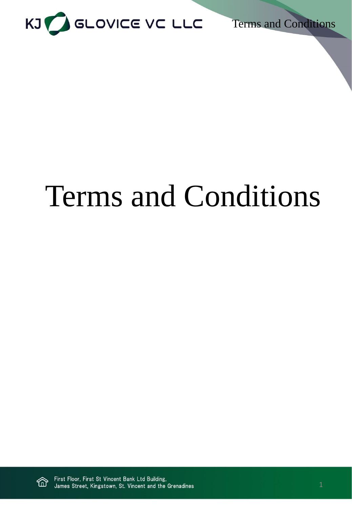

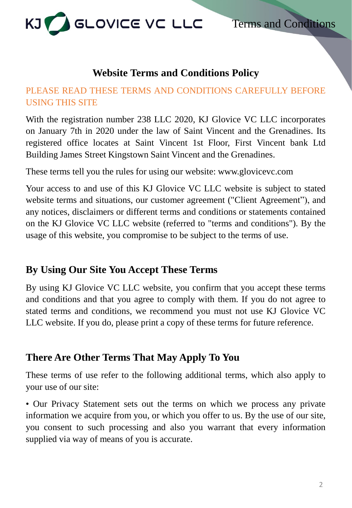

### **Website Terms and Conditions Policy**

#### PLEASE READ THESE TERMS AND CONDITIONS CAREFULLY BEFORE USING THIS SITE

With the registration number 238 LLC 2020, KJ Glovice VC LLC incorporates on January 7th in 2020 under the law of Saint Vincent and the Grenadines. Its registered office locates at Saint Vincent 1st Floor, First Vincent bank Ltd Building James Street Kingstown Saint Vincent and the Grenadines.

These terms tell you the rules for using our website: www.glovicevc.com

Your access to and use of this KJ Glovice VC LLC website is subject to stated website terms and situations, our customer agreement ("Client Agreement"), and any notices, disclaimers or different terms and conditions or statements contained on the KJ Glovice VC LLC website (referred to "terms and conditions"). By the usage of this website, you compromise to be subject to the terms of use.

# **By Using Our Site You Accept These Terms**

By using KJ Glovice VC LLC website, you confirm that you accept these terms and conditions and that you agree to comply with them. If you do not agree to stated terms and conditions, we recommend you must not use KJ Glovice VC LLC website. If you do, please print a copy of these terms for future reference.

# **There Are Other Terms That May Apply To You**

These terms of use refer to the following additional terms, which also apply to your use of our site:

• Our Privacy Statement sets out the terms on which we process any private information we acquire from you, or which you offer to us. By the use of our site, you consent to such processing and also you warrant that every information supplied via way of means of you is accurate.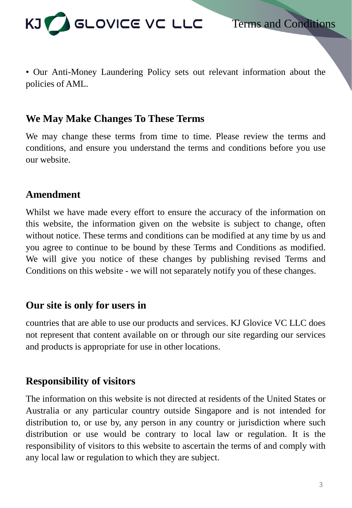

• Our Anti-Money Laundering Policy sets out relevant information about the policies of AML.

# **We May Make Changes To These Terms**

We may change these terms from time to time. Please review the terms and conditions, and ensure you understand the terms and conditions before you use our website.

# **Amendment**

Whilst we have made every effort to ensure the accuracy of the information on this website, the information given on the website is subject to change, often without notice. These terms and conditions can be modified at any time by us and you agree to continue to be bound by these Terms and Conditions as modified. We will give you notice of these changes by publishing revised Terms and Conditions on this website - we will not separately notify you of these changes.

### **Our site is only for users in**

countries that are able to use our products and services. KJ Glovice VC LLC does not represent that content available on or through our site regarding our services and products is appropriate for use in other locations.

# **Responsibility of visitors**

The information on this website is not directed at residents of the United States or Australia or any particular country outside Singapore and is not intended for distribution to, or use by, any person in any country or jurisdiction where such distribution or use would be contrary to local law or regulation. It is the responsibility of visitors to this website to ascertain the terms of and comply with any local law or regulation to which they are subject.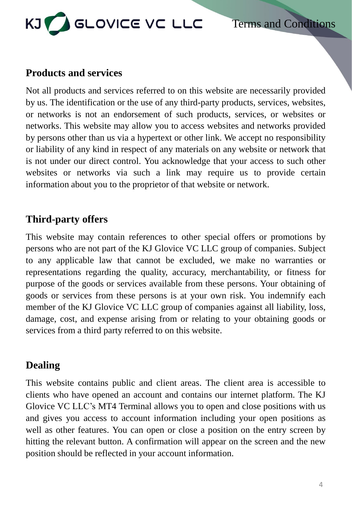KJ GLOVICE VC LLC

Terms and Conditions

#### **Products and services**

Not all products and services referred to on this website are necessarily provided by us. The identification or the use of any third-party products, services, websites, or networks is not an endorsement of such products, services, or websites or networks. This website may allow you to access websites and networks provided by persons other than us via a hypertext or other link. We accept no responsibility or liability of any kind in respect of any materials on any website or network that is not under our direct control. You acknowledge that your access to such other websites or networks via such a link may require us to provide certain information about you to the proprietor of that website or network.

# **Third-party offers**

This website may contain references to other special offers or promotions by persons who are not part of the KJ Glovice VC LLC group of companies. Subject to any applicable law that cannot be excluded, we make no warranties or representations regarding the quality, accuracy, merchantability, or fitness for purpose of the goods or services available from these persons. Your obtaining of goods or services from these persons is at your own risk. You indemnify each member of the KJ Glovice VC LLC group of companies against all liability, loss, damage, cost, and expense arising from or relating to your obtaining goods or services from a third party referred to on this website.

# **Dealing**

This website contains public and client areas. The client area is accessible to clients who have opened an account and contains our internet platform. The KJ Glovice VC LLC's MT4 Terminal allows you to open and close positions with us and gives you access to account information including your open positions as well as other features. You can open or close a position on the entry screen by hitting the relevant button. A confirmation will appear on the screen and the new position should be reflected in your account information.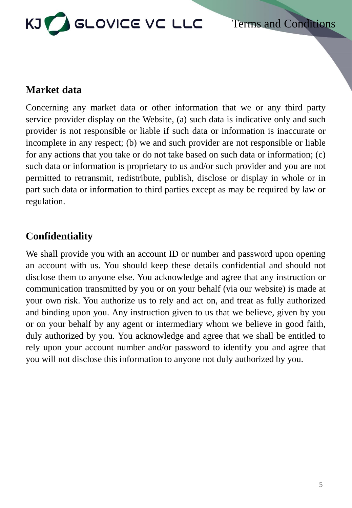

## **Market data**

Concerning any market data or other information that we or any third party service provider display on the Website, (a) such data is indicative only and such provider is not responsible or liable if such data or information is inaccurate or incomplete in any respect; (b) we and such provider are not responsible or liable for any actions that you take or do not take based on such data or information; (c) such data or information is proprietary to us and/or such provider and you are not permitted to retransmit, redistribute, publish, disclose or display in whole or in part such data or information to third parties except as may be required by law or regulation.

# **Confidentiality**

We shall provide you with an account ID or number and password upon opening an account with us. You should keep these details confidential and should not disclose them to anyone else. You acknowledge and agree that any instruction or communication transmitted by you or on your behalf (via our website) is made at your own risk. You authorize us to rely and act on, and treat as fully authorized and binding upon you. Any instruction given to us that we believe, given by you or on your behalf by any agent or intermediary whom we believe in good faith, duly authorized by you. You acknowledge and agree that we shall be entitled to rely upon your account number and/or password to identify you and agree that you will not disclose this information to anyone not duly authorized by you.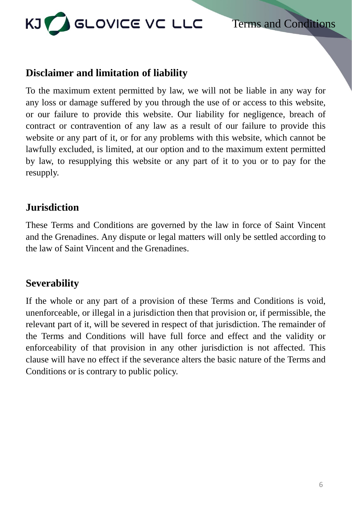

# **Disclaimer and limitation of liability**

To the maximum extent permitted by law, we will not be liable in any way for any loss or damage suffered by you through the use of or access to this website, or our failure to provide this website. Our liability for negligence, breach of contract or contravention of any law as a result of our failure to provide this website or any part of it, or for any problems with this website, which cannot be lawfully excluded, is limited, at our option and to the maximum extent permitted by law, to resupplying this website or any part of it to you or to pay for the resupply.

# **Jurisdiction**

These Terms and Conditions are governed by the law in force of Saint Vincent and the Grenadines. Any dispute or legal matters will only be settled according to the law of Saint Vincent and the Grenadines.

# **Severability**

If the whole or any part of a provision of these Terms and Conditions is void, unenforceable, or illegal in a jurisdiction then that provision or, if permissible, the relevant part of it, will be severed in respect of that jurisdiction. The remainder of the Terms and Conditions will have full force and effect and the validity or enforceability of that provision in any other jurisdiction is not affected. This clause will have no effect if the severance alters the basic nature of the Terms and Conditions or is contrary to public policy.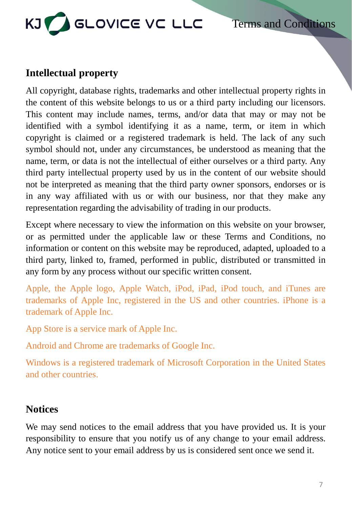

### **Intellectual property**

All copyright, database rights, trademarks and other intellectual property rights in the content of this website belongs to us or a third party including our licensors. This content may include names, terms, and/or data that may or may not be identified with a symbol identifying it as a name, term, or item in which copyright is claimed or a registered trademark is held. The lack of any such symbol should not, under any circumstances, be understood as meaning that the name, term, or data is not the intellectual of either ourselves or a third party. Any third party intellectual property used by us in the content of our website should not be interpreted as meaning that the third party owner sponsors, endorses or is in any way affiliated with us or with our business, nor that they make any representation regarding the advisability of trading in our products.

Except where necessary to view the information on this website on your browser, or as permitted under the applicable law or these Terms and Conditions, no information or content on this website may be reproduced, adapted, uploaded to a third party, linked to, framed, performed in public, distributed or transmitted in any form by any process without our specific written consent.

Apple, the Apple logo, Apple Watch, iPod, iPad, iPod touch, and iTunes are trademarks of Apple Inc, registered in the US and other countries. iPhone is a trademark of Apple Inc.

App Store is a service mark of Apple Inc.

Android and Chrome are trademarks of Google Inc.

Windows is a registered trademark of Microsoft Corporation in the United States and other countries.

# **Notices**

We may send notices to the email address that you have provided us. It is your responsibility to ensure that you notify us of any change to your email address. Any notice sent to your email address by us is considered sent once we send it.